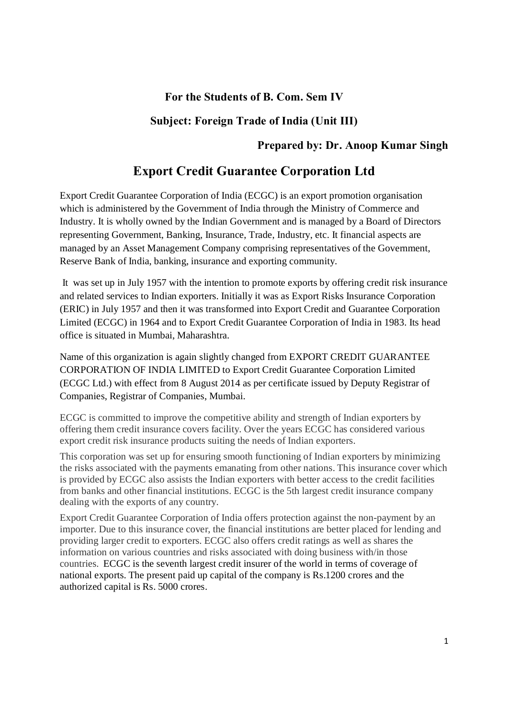# **For the Students of B. Com. Sem IV**

# **Subject: Foreign Trade of India (Unit III)**

# **Prepared by: Dr. Anoop Kumar Singh**

# **Export Credit Guarantee Corporation Ltd**

Export Credit Guarantee Corporation of India (ECGC) is an export promotion organisation which is administered by the Government of India through the Ministry of Commerce and Industry. It is wholly owned by the Indian Government and is managed by a Board of Directors representing Government, Banking, Insurance, Trade, Industry, etc. It financial aspects are managed by an Asset Management Company comprising representatives of the Government, Reserve Bank of India, banking, insurance and exporting community.

It was set up in July 1957 with the intention to promote exports by offering credit risk insurance and related services to Indian exporters. Initially it was as Export Risks Insurance Corporation (ERIC) in July 1957 [and then](https://en.wikipedia.org/wiki/Mumbai) [it was transfor](https://en.wikipedia.org/wiki/Maharashtra)med into Export Credit and Guarantee Corporation Limited (ECGC) in 1964 and to Export Credit Guarantee Corporation of India in 1983. Its head office is situated in Mumbai, Maharashtra.

Name of this organization is again slightly changed from EXPORT CREDIT GUARANTEE CORPORATION OF INDIA LIMITED to Export Credit Guarantee Corporation Limited (ECGC Ltd.) with effect from 8 August 2014 as per certificate issued by Deputy Registrar of Companies, Registrar of Companies, Mumbai.

ECGC is committed to improve the competitive ability and strength of Indian exporters by offering them credit insurance covers facility. Over the years ECGC has considered various export credit risk insurance products suiting the needs of Indian exporters.

This corporation was set up for ensuring smooth functioning of Indian exporters by minimizing the risks associated with the payments emanating from other nations. This insurance cover which is provided by ECGC also assists the Indian exporters with better access to the credit facilities from banks and other financial institutions. ECGC is the 5th largest credit insurance company dealing with the exports of any country.

Export Credit Guarantee Corporation of India offers protection against the non-payment by an importer. Due to this insurance cover, the financial institutions are better placed for lending and providing larger credit to exporters. ECGC also offers credit ratings as well as shares the information on various countries and risks associated with doing business with/in those countries. ECGC is the seventh largest credit insurer of the world in terms of coverage of national exports. The present paid up capital of the company is Rs.1200 crores and the authorized capital is Rs. 5000 crores.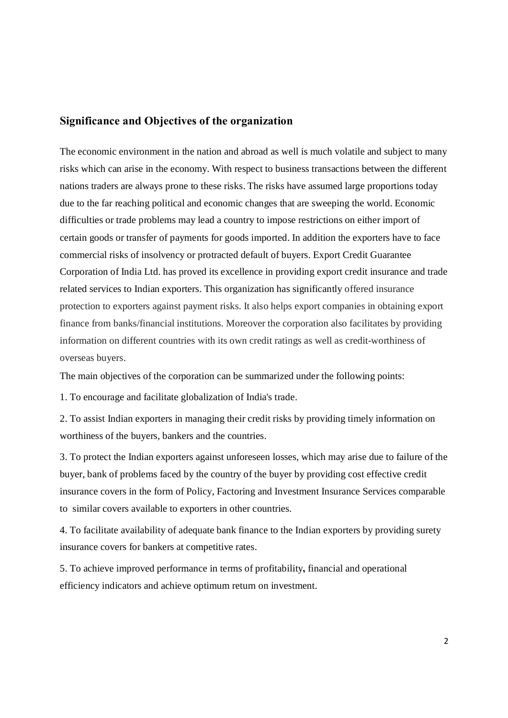## **Significance and Objectives of the organization**

The economic environment in the nation and abroad as well is much volatile and subject to many risks which can arise in the economy. With respect to business transactions between the different nations traders are always prone to these risks. The risks have assumed large proportions today due to the far reaching political and economic changes that are sweeping the world. Economic difficulties or trade problems may lead a country to impose restrictions on either import of certain goods or transfer of payments for goods imported. In addition the exporters have to face commercial risks of insolvency or protracted default of buyers. Export Credit Guarantee Corporation of India Ltd. has proved its excellence in providing export credit insurance and trade related services to Indian exporters. This organization has significantly offered insurance protection to exporters against payment risks. It also helps export companies in obtaining export finance from banks/financial institutions. Moreover the corporation also facilitates by providing information on different countries with its own credit ratings as well as credit-worthiness of overseas buyers.

The main objectives of the corporation can be summarized under the following points:

1. To encourage and facilitate globalization of India's trade.

2. To assist Indian exporters in managing their credit risks by providing timely information on worthiness of the buyers, bankers and the countries.

3. To protect the Indian exporters against unforeseen losses, which may arise due to failure of the buyer, bank of problems faced by the country of the buyer by providing cost effective credit insurance covers in the form of Policy, Factoring and Investment Insurance Services comparable to similar covers available to exporters in other countries.

4. To facilitate availability of adequate bank finance to the Indian exporters by providing surety insurance covers for bankers at competitive rates.

5. To achieve improved performance in terms of profitability**,** financial and operational efficiency indicators and achieve optimum return on investment.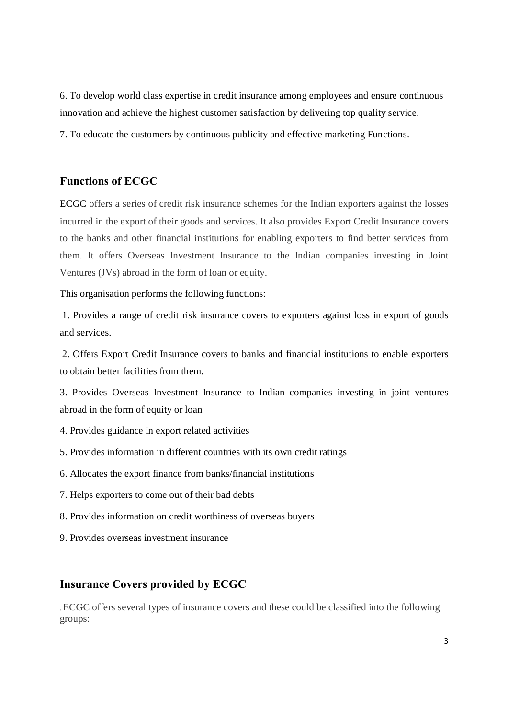6. To develop world class expertise in credit insurance among employees and ensure continuous innovation and achieve the highest customer satisfaction by delivering top quality service.

7. To educate the customers by continuous publicity and effective marketing Functions.

## **Functions of ECGC**

ECGC offers a series of credit risk insurance schemes for the Indian exporters against the losses incurred in the export of their goods and services. It also provides Export Credit Insurance covers to the banks and other financial institutions for enabling exporters to find better services from them. It offers Overseas Investment Insurance to the Indian companies investing in Joint Ventures (JVs) abroad in the form of loan or equity.

#### This organisation performs the following functions:

1. Provides a range of credit risk insurance covers to exporters against loss in export of goods and services.

2. Offers Export Credit Insurance covers to banks and financial institutions to enable exporters to obtain better facilities from them.

3. Provides Overseas Investment Insurance to Indian companies investing in joint ventures abroad in the form of equity or loan

- 4. Provides guidance in export related activities
- 5. Provides information in different countries with its own credit ratings
- 6. Allocates the export finance from banks/financial institutions
- 7. Helps exporters to come out of their bad debts
- 8. Provides information on credit worthiness of overseas buyers
- 9. Provides overseas investment insurance

## **Insurance Covers provided by ECGC**

. ECGC offers several types of insurance covers and these could be classified into the following groups: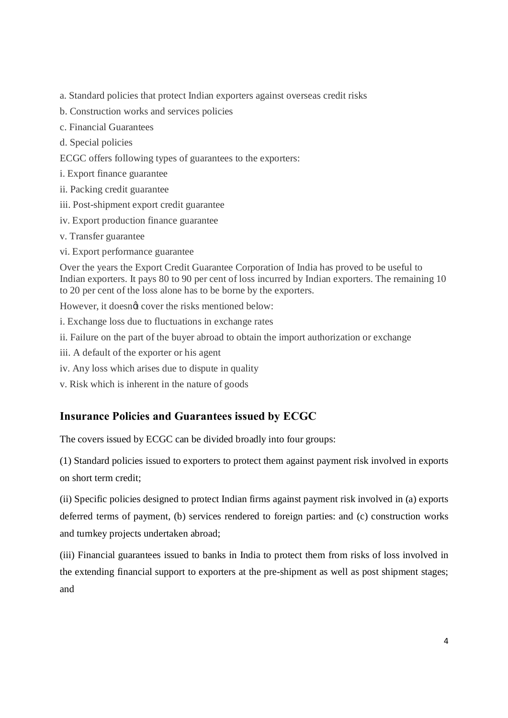- a. Standard policies that protect Indian exporters against overseas credit risks
- b. Construction works and services policies
- c. Financial Guarantees
- d. Special policies
- ECGC offers following types of guarantees to the exporters:
- i. Export finance guarantee
- ii. Packing credit guarantee
- iii. Post-shipment export credit guarantee
- iv. Export production finance guarantee
- v. Transfer guarantee
- vi. Export performance guarantee

Over the years the Export Credit Guarantee Corporation of India has proved to be useful to Indian exporters. It pays 80 to 90 per cent of loss incurred by Indian exporters. The remaining 10 to 20 per cent of the loss alone has to be borne by the exporters.

However, it doesnot cover the risks mentioned below:

- i. Exchange loss due to fluctuations in exchange rates
- ii. Failure on the part of the buyer abroad to obtain the import authorization or exchange
- iii. A default of the exporter or his agent
- iv. Any loss which arises due to dispute in quality
- v. Risk which is inherent in the nature of goods

# **Insurance Policies and Guarantees issued by ECGC**

The covers issued by ECGC can be divided broadly into four groups:

(1) Standard policies issued to exporters to protect them against payment risk involved in exports on short term credit;

(ii) Specific policies designed to protect Indian firms against payment risk involved in (a) exports deferred terms of payment, (b) services rendered to foreign parties: and (c) construction works and turnkey projects undertaken abroad;

(iii) Financial guarantees issued to banks in India to protect them from risks of loss involved in the extending financial support to exporters at the pre-shipment as well as post shipment stages; and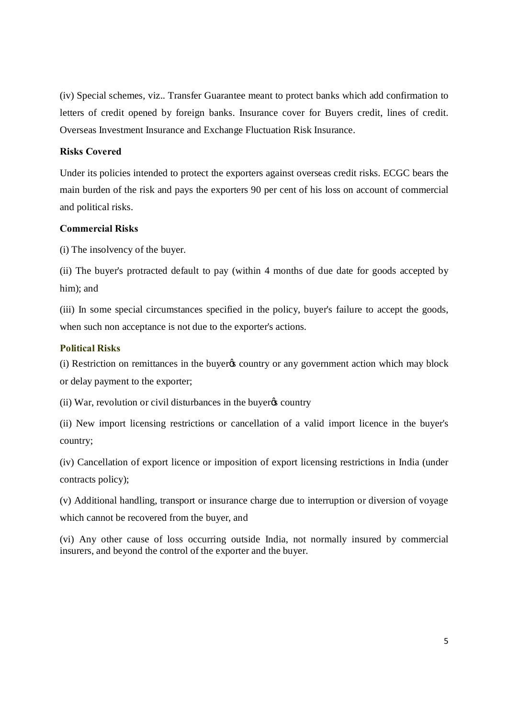(iv) Special schemes, viz.. Transfer Guarantee meant to protect banks which add confirmation to letters of credit opened by foreign banks. Insurance cover for Buyers credit, lines of credit. Overseas Investment Insurance and Exchange Fluctuation Risk Insurance.

#### **Risks Covered**

Under its policies intended to protect the exporters against overseas credit risks. ECGC bears the main burden of the risk and pays the exporters 90 per cent of his loss on account of commercial and political risks.

### **Commercial Risks**

(i) The insolvency of the buyer.

(ii) The buyer's protracted default to pay (within 4 months of due date for goods accepted by him); and

(iii) In some special circumstances specified in the policy, buyer's failure to accept the goods, when such non acceptance is not due to the exporter's actions.

#### **Political Risks**

(i) Restriction on remittances in the buyer to country or any government action which may block or delay payment to the exporter;

(ii) War, revolution or civil disturbances in the buyer  $\alpha$  country

(ii) New import licensing restrictions or cancellation of a valid import licence in the buyer's country;

(iv) Cancellation of export licence or imposition of export licensing restrictions in India (under contracts policy);

(v) Additional handling, transport or insurance charge due to interruption or diversion of voyage which cannot be recovered from the buyer, and

(vi) Any other cause of loss occurring outside India, not normally insured by commercial insurers, and beyond the control of the exporter and the buyer.